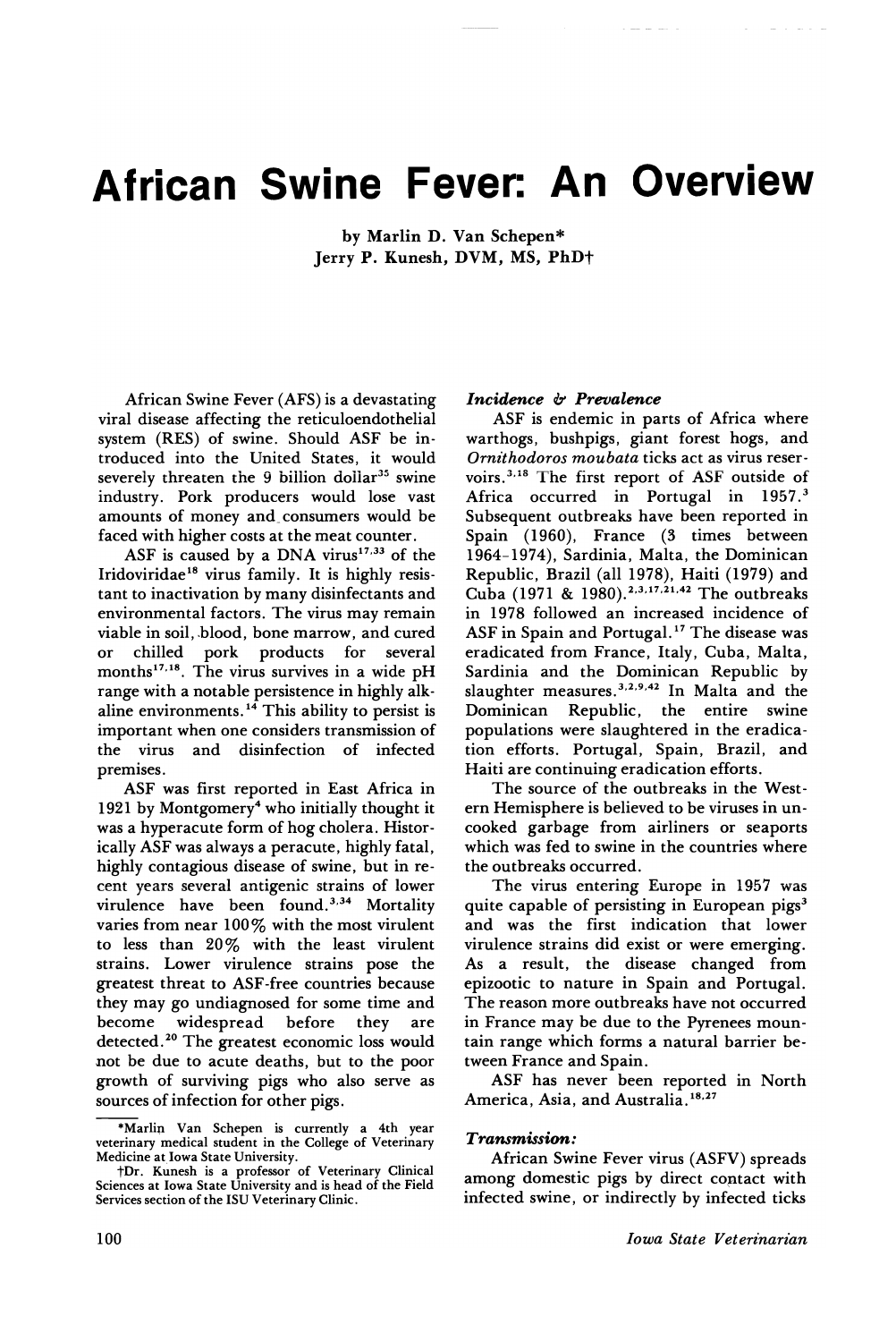# **African Swine Fever: An Overview**

by Marlin D. Van Schepen\* Jerry P. Kunesh, DVM, MS, PhDt

African Swine Fever (AFS) is a devastating viral disease affecting the reticuloendothelial system (RES) of swine. Should ASF be introduced into the United States, it would severely threaten the  $9$  billion dollar<sup>35</sup> swine industry. Pork producers would lose vast amounts of money and consumers would be faced with higher costs at the meat counter.

ASF is caused by a DNA virus $17,33$  of the Iridoviridae<sup>18</sup> virus family. It is highly resistant to inactivation by many disinfectants and environmental factors. The virus may remain viable in soil, blood, bone marrow, and cured or chilled pork products for several months<sup>17,18</sup>. The virus survives in a wide pH range with a notable persistence in highly alkaline environments. <sup>14</sup> This ability to persist is important when one considers transmission of the virus and disinfection of infected premises.

ASF was first reported in East Africa in 1921 by Montgomery<sup>4</sup> who initially thought it was a hyperacute form of hog cholera. Historically ASF was always a peracute, highly fatal, highly contagious disease of swine, but in recent years several antigenic strains of lower virulence have been found.<sup>3,34</sup> Mortality varies from near 100% with the most virulent to less than 20% with the least virulent strains. Lower virulence strains pose the greatest threat to ASF-free countries because they may go undiagnosed for some time and<br>become widespread before they are widespread before they are detected. <sup>20</sup> The greatest economic loss would not be due to acute deaths, but to the poor growth of surviving pigs who also serve as sources of infection for other pigs.

#### *Incidence* b *Prevalence*

ASF is endemic in parts of Africa where warthogs, bushpigs, giant forest hogs, and *Ornithodoros moubata* ticks act as virus reservoirs. <sup>3</sup> ,18 The first report of ASF outside of Africa occurred in Portugal in 1957.<sup>3</sup> Subsequent outbreaks have been reported in Spain (1960), France (3 times between 1964-1974), Sardinia, Malta, the Dominican Republic, Brazil (all 1978), Haiti (1979) and Cuba (1971 & 1980).<sup>2,3,17,21,42</sup> The outbreaks in 1978 followed an increased incidence of ASF in Spain and Portugal. <sup>17</sup> The disease was eradicated from France, Italy, Cuba, Malta, Sardinia and the Dominican Republic by slaughter measures. 3,2,9,42 In Malta and the Dominican Republic, the entire swine populations were slaughtered in the eradication efforts. Portugal, Spain, Brazil, and Haiti are continuing eradication efforts.

The source of the outbreaks in the Western Hemisphere is believed to be viruses in uncooked garbage from airliners or seaports which was fed to swine in the countries where the outbreaks occurred.

The virus entering Europe in 1957 was quite capable of persisting in European pigs<sup>3</sup> and was the first indication that lower virulence strains did exist or were emerging. As a result, the disease changed from epizootic to nature in Spain and Portugal. The reason more outbreaks have not occurred in France may be due to the Pyrenees mountain range which forms a natural barrier between France and Spain.

ASF has never been reported in North America, Asia, and Australia.<sup>18,27</sup>

#### *Transmission :*

African Swine Fever virus (ASFV) spreads among domestic pigs by direct coptact with infected swine, or indirectly by infected ticks

<sup>\*</sup>Marli~ Van Schepen is currently a 4th year veterinary medical student in the College of Veterinary Medicine at,Iowa State University.

tDr. Kunesh is a professor of Veterinary Clinical Sciences at Iowa State University and is head of the Field Services section of the ISU Veterinary Clinic.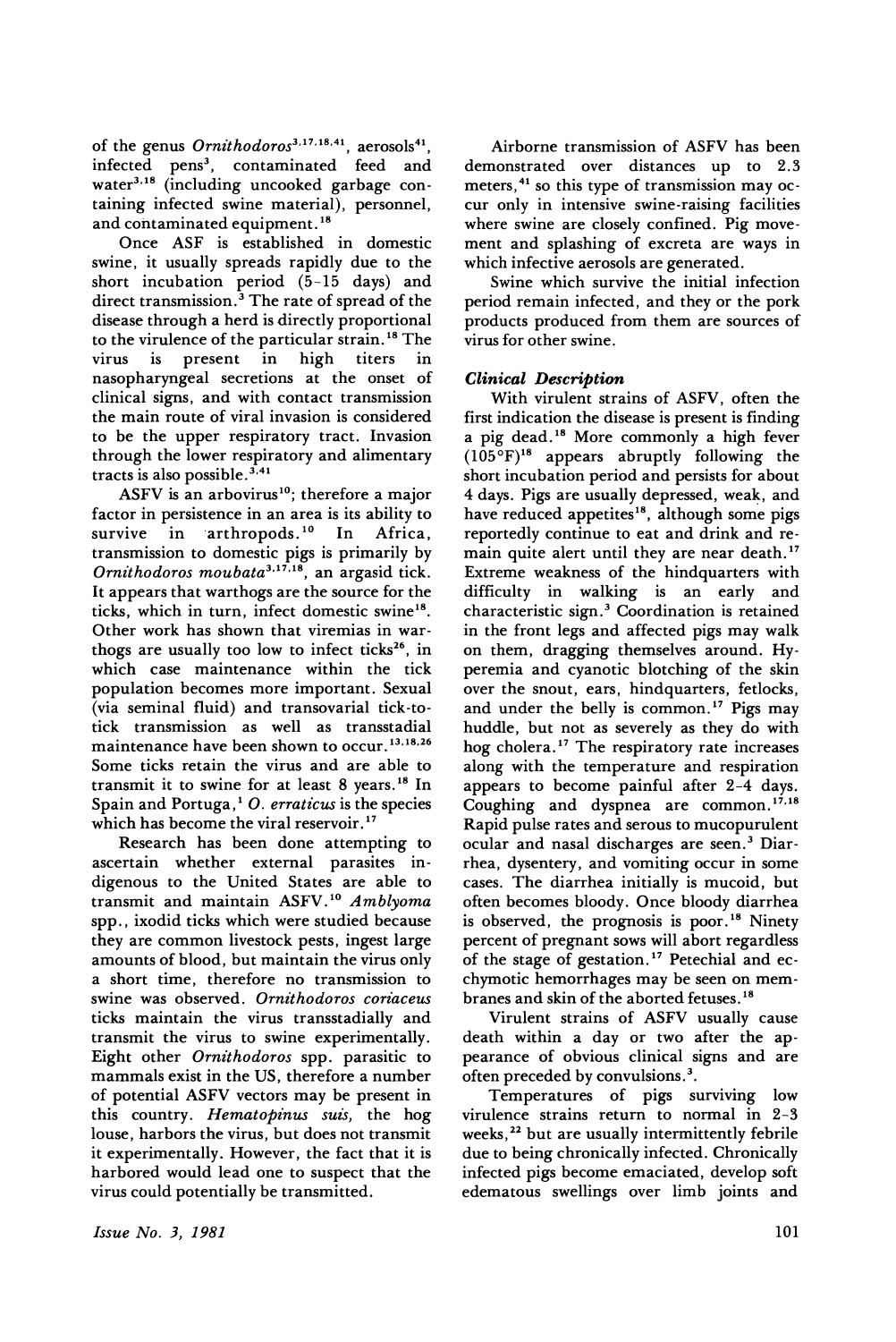of the genus *Ornithodoros*<sup>3,17,18,41</sup>, aerosols<sup>41</sup>, infected pens<sup>3</sup>, contaminated feed and water<sup>3,18</sup> (including uncooked garbage containing infected swine material), personnel, and contaminated equipment.<sup>18</sup>

Once ASF is established in domestic swine, it usually spreads rapidly due to the short incubation period (5-15 days) and direct transmission.<sup>3</sup> The rate of spread of the disease through a herd is directly proportional to the virulence of the particular strain.<sup>18</sup> The<br>virus is present in high titers in virus is present in high titers in nasopharyngeal secretions at the onset of clinical signs, and with contact transmission the main route of viral invasion is considered to be the upper respiratory tract. Invasion through the lower respiratory and alimentary tracts is also possible.  $3,41$ 

ASFV is an arbovirus<sup>10</sup>; therefore a major factor in persistence in an area is its ability to<br>survive in arthropods.<sup>10</sup> In Africa, survive in  $arthropods.<sup>10</sup>$ transmission to domestic pigs is primarily by *Ornithodoros moubata3* ,17,18, an argasid tick. It appears that warthogs are the source for the ticks, which in turn, infect domestic swine<sup>18</sup>. Other work has shown that viremias in warthogs are usually too low to infect ticks<sup>26</sup>, in which case maintenance within the tick population becomes more important. Sexual (via seminal fluid) and transovarial tick-totick transmission as well as transstadial maintenance have been shown to occur. 13,18,26 Some ticks retain the virus and are able to transmit it to swine for at least 8 years. <sup>18</sup> In Spain and Portuga, 1 O. *erraticus* is the species which has become the viral reservoir.<sup>17</sup>

Research has been done attempting to ascertain whether external parasites indigenous to the United States are able to transmit and maintain ASFV. <sup>10</sup> *A mblyoma* spp., ixodid ticks which were studied because they are common livestock pests, ingest large amounts of blood, but maintain the virus only a short time, therefore no transmission to swine was observed. *Ornithodoros coriaceus* ticks maintain the virus transstadially and transmit the virus to swine experimentally. Eight other *Ornithodoros* spp. parasitic to mammals exist in the US, therefore a number of potential ASFV vectors may be present in this country. *Hematopinus suzs,* the hog louse, harbors the virus, but does not transmit it experimentally. However, the fact that it is harbored would lead one to suspect that the virus could potentially be transmitted.

Airborne transmission of ASFV has been demonstrated over distances up to 2.3 meters,<sup>41</sup> so this type of transmission may occur only in intensive swine-raising facilities where swine are closely confined. Pig movement and splashing of excreta are ways in which infective aerosols are generated.

Swine which survive the initial infection period remain infected, and they or the pork products produced from them are sources of virus for other swine.

# *Clinical Description*

With virulent strains of ASFV, often the first indication the disease is present is finding a pig dead. <sup>18</sup> More commonly a high fever  $(105^{\circ}F)^{18}$  appears abruptly following the short incubation period and persists for about 4 days. Pigs are usually depressed, weak, and have reduced appetites<sup>18</sup>, although some pigs reportedly continue to eat and drink and remain quite alert until they are near death.<sup>17</sup> Extreme weakness of the hindquarters with difficulty in walking is an early and characteristic sign.3 Coordination is retained in the front legs and affected pigs may walk on them, dragging themselves around. Hyperemia and cyanotic blotching of the skin over the snout, ears, hindquarters, fetlocks, and under the belly is common.<sup>17</sup> Pigs may huddle, but not as severely as they do with hog cholera. <sup>17</sup> The respiratory rate increases along with the temperature and respiration appears to become painful after 2-4 days. Coughing and dyspnea are common.<sup>17,18</sup> Rapid pulse rates and serous to mucopurulent ocular and nasal discharges are seen.3 Diarrhea, dysentery, and vomiting occur in some cases. The diarrhea initially is mucoid, but often becomes bloody. Once bloody diarrhea is observed, the prognosis is poor.<sup>18</sup> Ninety percent of pregnant sows will abort regardless of the stage of gestation. <sup>17</sup> Petechial and ecchymotic hemorrhages may be seen on membranes and skin of the aborted fetuses. <sup>18</sup>

Virulent strains of ASFV usually cause death within a day or two after the appearance of obvious clinical signs and are often preceded by convulsions.3.

Temperatures of pigs surviving low virulence strains return to normal in 2-3 weeks,<sup>22</sup> but are usually intermittently febrile due to being chronically infected. Chronically infected pigs become emaciated, develop soft edematous swellings over limb joints and

*Issue No.3, 1981*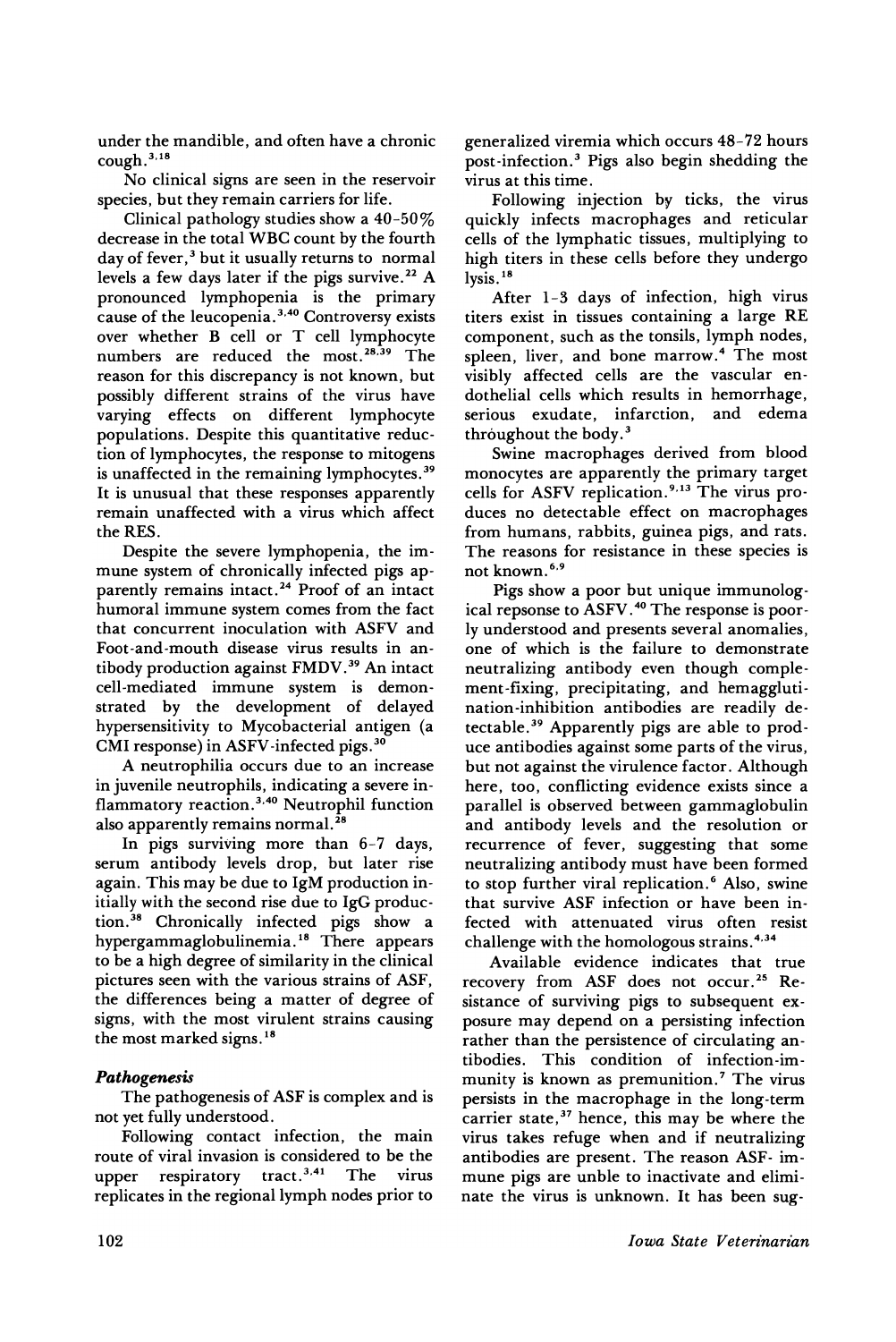under the mandible, and often have a chronic cough.<sup>3,18</sup>

No clinical signs are seen in the reservoir species, but they remain carriers for life.

Clinical pathology studies show a 40-50% decrease in the total WBC count by the fourth day of fever,<sup>3</sup> but it usually returns to normal levels a few days later if the pigs survive.<sup>22</sup> A pronounced lymphopenia is the primary cause of the leucopenia.<sup>3,40</sup> Controversy exists over whether B cell or T cell lymphocyte numbers are reduced the most.<sup>28,39</sup> The reason for this discrepancy is not known, but possibly different strains of the virus have varying effects on different lymphocyte populations. Despite this quantitative reduction of lymphocytes, the response to mitogens is unaffected in the remaining lymphocytes.<sup>39</sup> It is unusual that these responses apparently remain unaffected with a virus which affect the RES.

Despite the severe lymphopenia, the immune system of chronically infected pigs apparently remains intact. <sup>24</sup> Proof of an intact humoral immune system comes from the fact that concurrent inoculation with ASFV and Foot-and-mouth disease virus results in antibody production against FMDV. <sup>39</sup> An intact cell-mediated immune system is demonstrated by the development of delayed hypersensitivity to Mycobacterial antigen (a CMI response) in ASFV-infected pigs. <sup>30</sup>

A neutrophilia occurs due to an increase in juvenile neutrophils, indicating a severe inflammatory reaction.<sup>3,40</sup> Neutrophil function also apparently remains normal.<sup>28</sup>

In pigs surviving more than 6-7 days, serum antibody levels drop, but later rise again. This may be due to IgM production initially with the second rise due to IgG production. <sup>38</sup> Chronically infected pigs show a hypergammaglobulinemia. <sup>18</sup> There appears to be a high degree of similarity in the clinical pictures seen with the various strains of ASF, the differences being a matter of degree of signs, with the most virulent strains causing the most marked signs. <sup>18</sup>

# *Pathogenesis*

The pathogenesis of ASF is complex and is not yet fully understood.

Following contact infection, the main route of viral invasion is considered to be the upper respiratory tract.<sup>3,41</sup> The virus replicates in the regional lymph nodes prior to generalized viremia which occurs 48-72 hours post-infection. <sup>3</sup> Pigs also begin shedding the virus at this time.

Following injection by ticks, the virus quickly infects macrophages and reticular cells of the lymphatic tissues, multiplying to high titers in these cells before they undergo lysis.<sup>18</sup>

After 1-3 days of infection, high virus titers exist in tissues containing a large RE component, such as the tonsils, lymph nodes, spleen, liver, and bone marrow.<sup>4</sup> The most visibly affected cells are the vascular endothelial cells which results in hemorrhage, serious exudate, infarction, and edema throughout the body. $3$ 

Swine macrophages derived from blood monocytes are apparently the primary target cells for ASFV replication.<sup>9,13</sup> The virus produces no detectable effect on macrophages from humans, rabbits, guinea pigs, and rats. The reasons for resistance in these species is not known. 6,9

Pigs show a poor but unique immunological repsonse to ASFV. <sup>40</sup> The response is poorly understood and presents several anomalies, one of which is the failure to demonstrate neutralizing antibody even though complement-fixing, precipitating, and hemagglutination-inhibition antibodies are readily detectable. <sup>39</sup> Apparently pigs are able to produce antibodies against some parts of the virus, but not against the virulence factor. Although here, too, conflicting evidence exists since a parallel is observed between gammaglobulin and antibody levels and the resolution or recurrence of fever, suggesting that some neutralizing antibody must have been formed to stop further viral replication.<sup>6</sup> Also, swine that survive ASF infection or have been infected with attenuated virus often resist challenge with the homologous strains.<sup>4,34</sup>

Available evidence indicates that true recovery from ASF does not occur. <sup>25</sup> Resistance of surviving pigs to subsequent exposure may depend on a persisting infection rather than the persistence of circulating antibodies. This condition of infection-immunity is known as premunition.<sup>7</sup> The virus persists in the macrophage in the long-term carrier state,<sup>37</sup> hence, this may be where the virus takes refuge when and if neutralizing antibodies are present. The reason ASF- immune pigs are unble to inactivate and eliminate the virus is unknown. It has been sug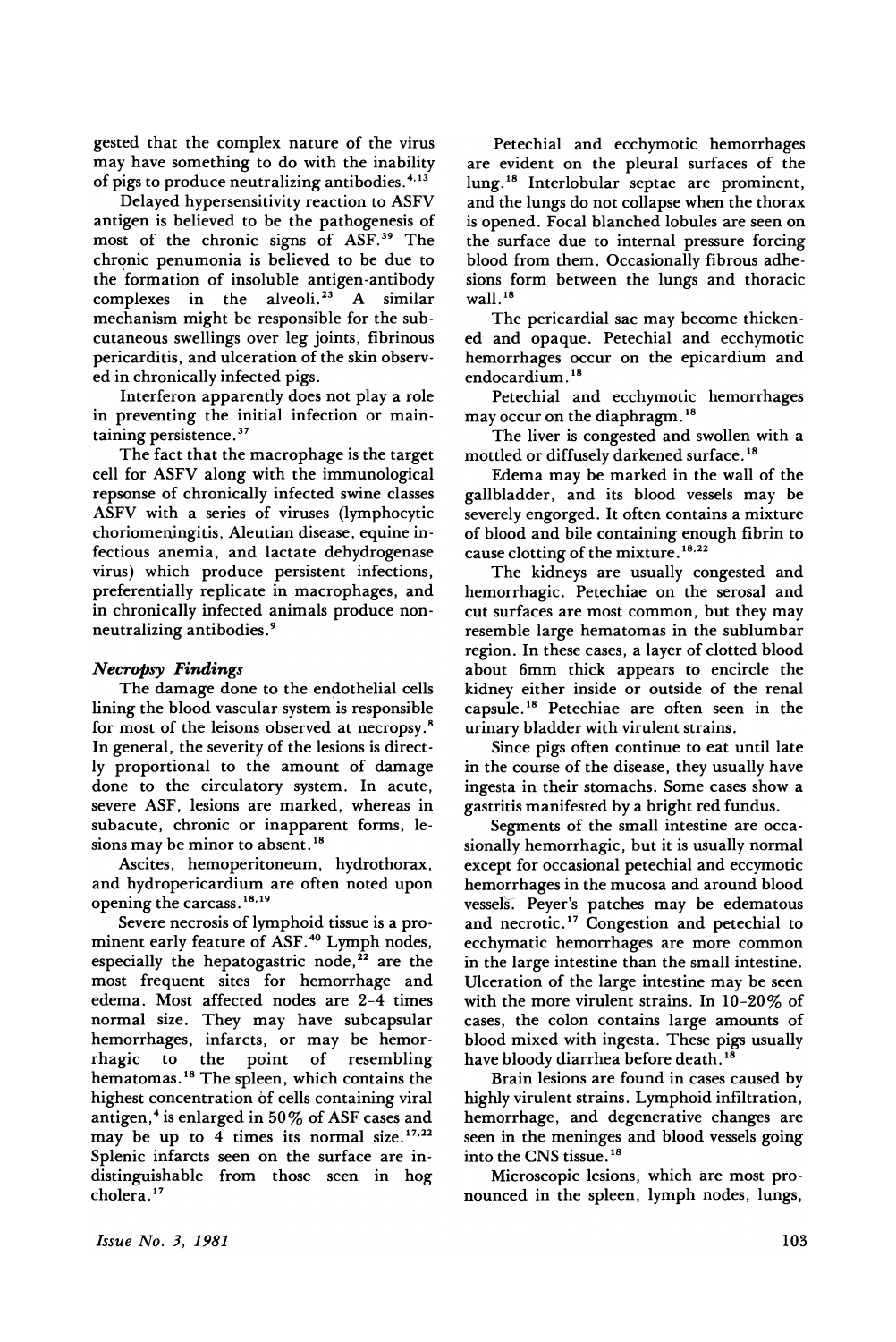gested that the complex nature of the virus may have something to do with the inability of pigs to produce neutralizing antibodies. 4.13

Delayed hypersensitivity reaction to ASFV antigen is believed to be the pathogenesis of most of the chronic signs of ASF. <sup>39</sup> The chronic penumonia is believed to be due to the formation of insoluble antigen-antibody complexes in the alveoli.<sup>23</sup> A similar mechanism might be responsible for the subcutaneous swellings over leg joints, fibrinous pericarditis, and ulceration of the skin observed in chronically infected pigs.

Interferon apparently does not play a role in preventing the initial infection or maintaining persistence. <sup>37</sup>

The fact that the macrophage is the target cell for ASFV along with the immunological repsonse of chronically infected swine classes ASFV with a series of viruses (lymphocytic choriomeningitis, Aleutian disease, equine infectious anemia, and lactate dehydrogenase virus) which produce persistent infections, preferentially replicate in macrophages, and in chronically infected animals produce nonneutralizing antibodies. 9

#### *Necropsy Findings*

The damage done to the endothelial cells lining the blood vascular system is responsible for most of the leisons observed at necropsy.8 In general, the severity of the lesions is directly proportional to the amount of damage done to the circulatory system. In acute, severe ASF, lesions are marked, whereas in subacute, chronic or inapparent forms, lesions may be minor to absent. <sup>18</sup>

Ascites, hemoperitoneum, hydrothorax, and hydropericardium are often noted upon opening the carcass. 18.19

Severe necrosis of lymphoid tissue is a prominent early feature of ASF. <sup>40</sup> Lymph nodes, especially the hepatogastric node, $^{22}$  are the most frequent sites for hemorrhage and edema. Most affected nodes are 2-4 times normal size. They may have subcapsular hemorrhages, infarcts, or may be hemorrhagic to the point of resembling hematomas. <sup>18</sup> The spleen, which contains the highest concentration of cells containing viral antigen,<sup>4</sup> is enlarged in 50% of ASF cases and may be up to 4 times its normal size. $17,22$ Splenic infarcts seen on the surface are indistinguishable from those seen in hog cholera. <sup>17</sup>

Petechial and ecchymotic hemorrhages are evident on the pleural surfaces of the lung. <sup>18</sup> Interlobular septae are prominent, and the lungs do not collapse when the thorax is opened. Focal blanched lobules are seen on the surface due to internal pressure forcing blood from them. Occasionally fibrous adhesions form between the lungs and thoracic wall.<sup>18</sup>

The pericardial sac may become thickened and opaque. Petechial and ecchymotic hemorrhages occur on the epicardium and endocardium. <sup>18</sup>

Petechial and ecchymotic hemorrhages may occur on the diaphragm. <sup>18</sup>

The liver is congested and swollen with a mottled or diffusely darkened surface. <sup>18</sup>

Edema may be marked in the wall of the gallbladder, and its blood vessels may be severely engorged. It often contains a mixture of blood and bile containing enough fibrin to cause clotting of the mixture. 18,22

The kidneys are usually congested and hemorrhagic. Petechiae on the serosal and cut surfaces are most common, but they may resemble large hematomas in the sublumbar region. In these cases, a layer of clotted blood about 6mm thick appears to encircle the kidney either inside or outside of the renal capsule. <sup>18</sup> Petechiae are often seen in the urinary bladder with virulent strains.

Since pigs often continue to eat until late in the course of the disease, they usually have ingesta in their stomachs. Some cases show a gastritis manifested by a bright red fundus.

Segments of the small intestine are occasionally hemorrhagic, but it is usually normal except for occasional petechial and eccymotic hemorrhages in the mucosa and around blood vessels. Peyer's patches may be edematous and necrotic.<sup>17</sup> Congestion and petechial to ecchymatic hemorrhages are more common in the large intestine than the small intestine. Ulceration of the large intestine may be seen with the more virulent strains. In 10-20% of cases, the colon contains large amounts of blood mixed with ingesta. These pigs usually have bloody diarrhea before death.<sup>1</sup>

Brain lesions are found in cases caused by highly virulent strains. Lymphoid infiltration, hemorrhage, and degenerative changes are seen in the meninges and blood vessels going into the CNS tissue. <sup>18</sup>

Microscopic lesions, which are most pronounced in the spleen, lymph nodes, lungs,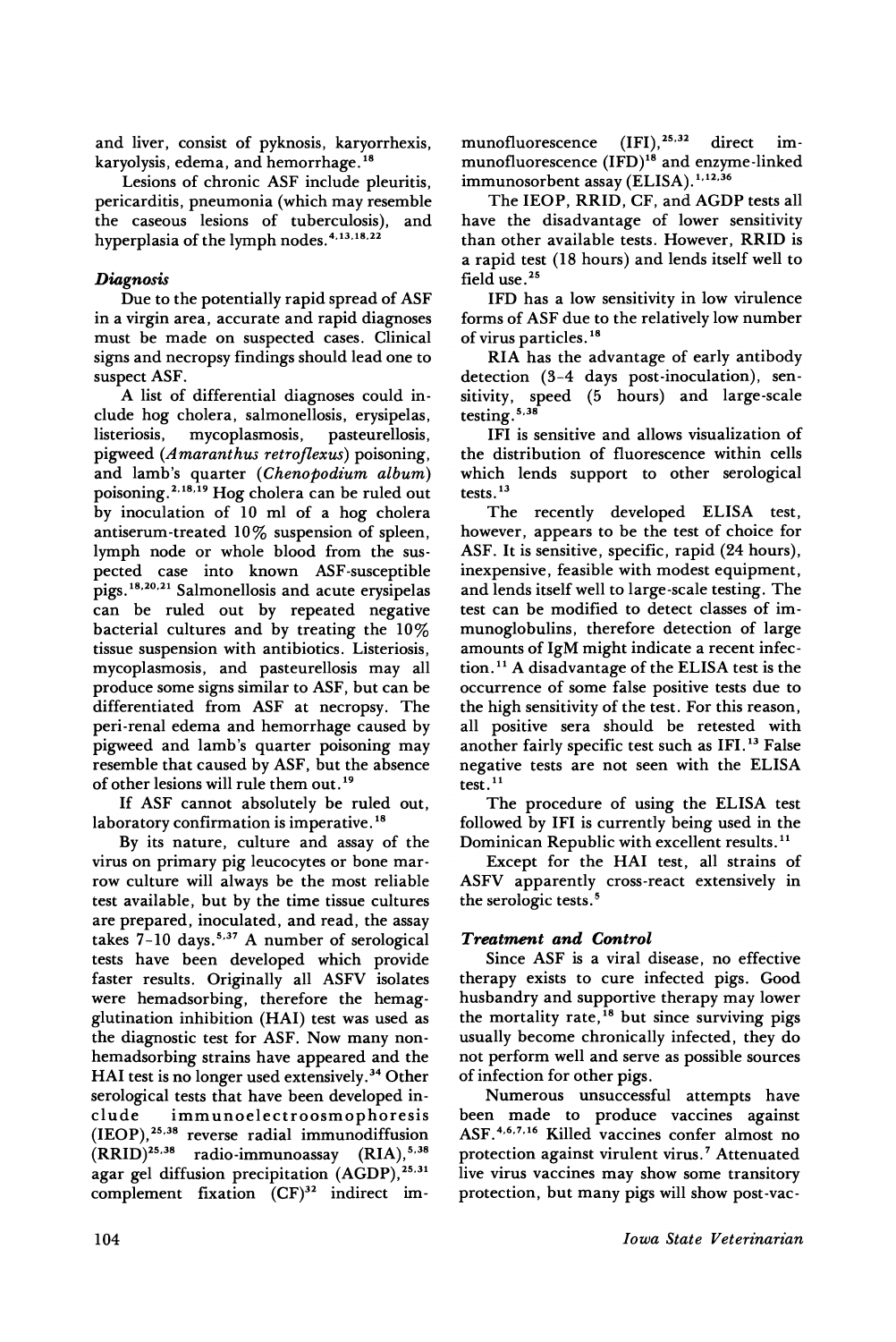and liver, consist of pyknosis, karyorrhexis, karyolysis, edema, and hemorrhage. <sup>18</sup>

Lesions of chronic ASF include pleuritis, pericarditis, pneumonia (which may resemble the caseous lesions of tuberculosis), and hyperplasia of the lymph nodes. 4.13.18.22

# *Diagnosis*

Due to the potentially rapid spread of ASF in a virgin area, accurate and rapid diagnoses must be made on suspected cases. Clinical signs and necropsy findings should lead one to suspect ASF.

A list of differential diagnoses could include hog cholera, salmonellosis, erysipelas, listeriosis, mycoplasmosis, pigweed (Amaranthus retroflexus) poisoning, and lamb's quarter *(Chenopodium album)* poisoning.2.18.19 Hog cholera can be ruled out by inoculation of 10 ml of a hog cholera antiserum-treated 10% suspension of spleen, lymph node or whole blood from the suspected case into known ASF-susceptible pigs.18.2o.21 Salmonellosis and acute erysipelas can be ruled out by repeated negative bacterial cultures and by treating the 10% tissue suspension with antibiotics. Listeriosis, mycoplasmosis, and pasteurellosis may all produce some signs similar to ASF, but can be differentiated from ASF at necropsy. The peri-renal edema and hemorrhage caused by pigweed and lamb's quarter poisoning may resemble that caused by ASF, but the absence of other lesions will rule them out. <sup>19</sup>

If ASF cannot absolutely be ruled out, laboratory confirmation is imperative.<sup>18</sup>

By its nature, culture and assay of the virus on primary pig leucocytes or bone marrow culture will always be the most reliable test available, but by the time tissue cultures are prepared, inoculated, and read, the assay takes 7-10 days.<sup>5,37</sup> A number of serological tests have been developed which provide faster results. Originally all ASFV isolates were hemadsorbing, therefore the hemagglutination inhibition (HAl) test was used as the diagnostic test for ASF. Now many nonhemadsorbing strains have appeared and the HAl test is no longer used extensively. <sup>34</sup> Other serological tests that have been developed include immunoelectroosmophoresis (IEOP),25.38 reverse radial immunodiffusion  $(RRID)^{25,38}$  radio-immunoassay  $(RIA)^{5,38}$ agar gel diffusion precipitation (AGDP),<sup>25,31</sup> complement fixation  $(CF)^{32}$  indirect immunofluorescence  $(IFI)$ ,  $^{25,32}$  direct immunofluorescence (IFD)<sup>18</sup> and enzyme-linked immunosorbent assay (ELISA).<sup>1,12,36</sup>

The IEOP, RRID, CF, and AGDP tests all have the disadvantage of lower sensitivity than other available tests. However, RRID is a rapid test (18 hours) and lends itself well to field use. <sup>25</sup>

IFD has a low sensitivity in low virulence forms of ASF due to the relatively low number of virus particles. <sup>18</sup>

RIA has the advantage of early antibody detection (3-4 days post-inoculation), sensitivity, speed (5 hours) and large-scale testing. 5.38

IFI is sensitive and allows visualization of the distribution of fluorescence within cells which lends support to other serological tests.<sup>13</sup>

The recently developed ELISA test, however, appears to be the test of choice for ASF. It is sensitive, specific, rapid (24 hours), inexpensive, feasible with modest equipment, and lends itself well to large-scale testing. The test can be modified to detect classes of immunoglobulins, therefore detection of large amounts of IgM might indicate a recent infection. <sup>11</sup> A disadvantage of the ELISA test is the occurrence of some false positive tests due to the high sensitivity of the test. For this reason, all positive sera should be retested with another fairly specific test such as IFI. <sup>13</sup> False negative tests are not seen with the ELISA test. <sup>11</sup>

The procedure of using the ELISA test followed by IFI is currently being used in the Dominican Republic with excellent results. <sup>11</sup>

Except for the HAl test, all strains of ASFV apparently cross-react extensively in the serologic tests. <sup>5</sup>

# *Treatment and Control*

Since ASF is a viral disease, no effective therapy exists to cure infected pigs. Good husbandry and supportive therapy may lower the mortality rate,<sup>18</sup> but since surviving pigs usually become chronically infected, they do not perform well and serve as possible sources of infection for other pigs.

Numerous unsuccessful attempts have been made to produce vaccines against ASF. 4.6.7.16 Killed vaccines confer almost no protection against virulent virus.<sup>7</sup> Attenuated live virus vaccines may show some transitory protection, but many pigs will show post-vac-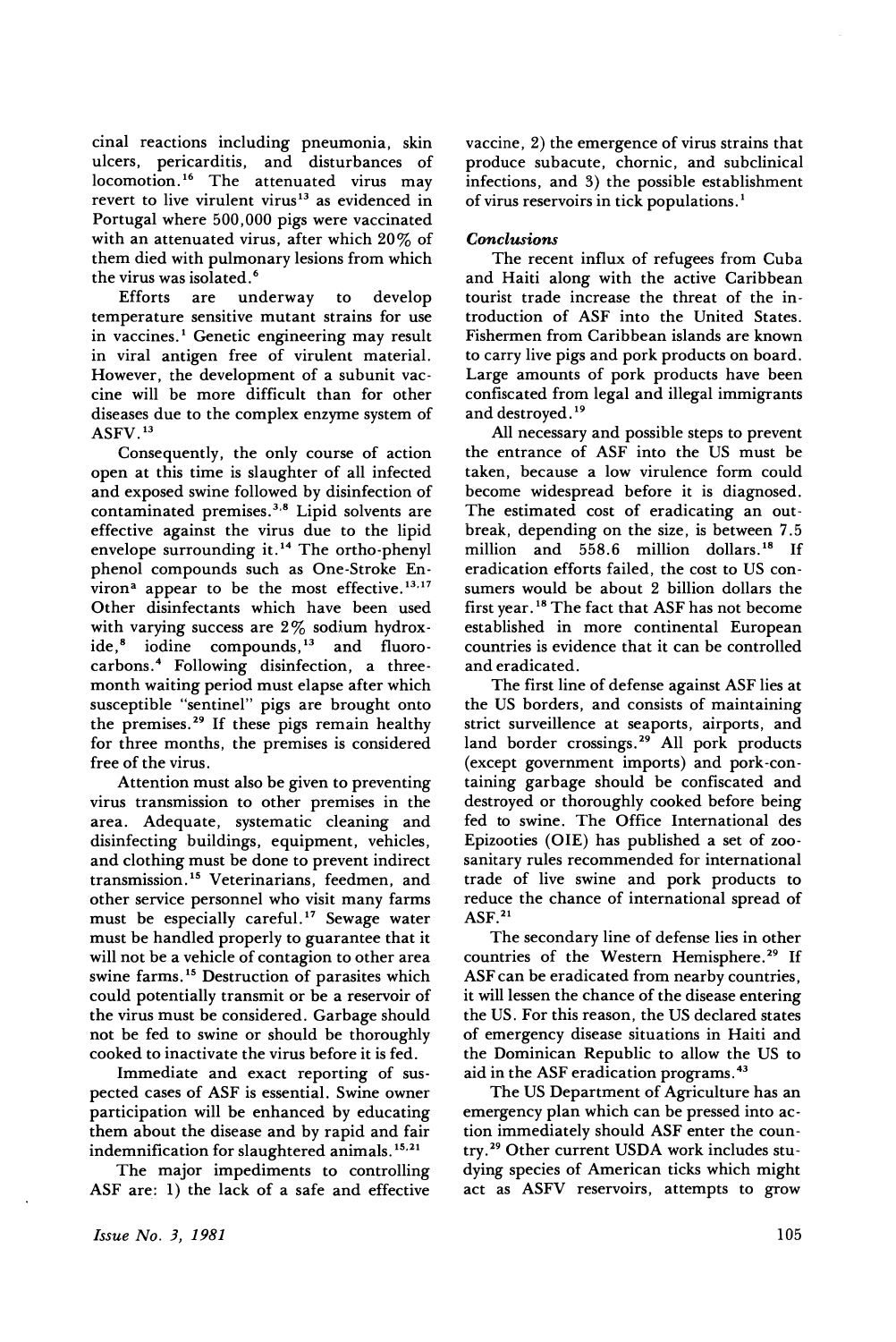cinal reactions including pneumonia, skin ulcers, pericarditis, and disturbances of locomotion. <sup>16</sup> The attenuated virus may revert to live virulent virus<sup>13</sup> as evidenced in Portugal where 500,000 pigs were vaccinated with an attenuated virus, after which 20% of them died with pulmonary lesions from which

the virus was isolated.<sup>6</sup><br>Efforts are un are underway to develop temperature sensitive mutant strains for use in vaccines.<sup>1</sup> Genetic engineering may result in viral antigen free of virulent material. However, the development of a subunit vaccine will be more difficult than for other diseases due to the complex enzyme system of ASFV. <sup>13</sup>

Consequently, the only course of action open at this time is slaughter of all infected and exposed swine followed by disinfection of contaminated premises. 3,8 Lipid solvents are effective against the virus due to the lipid envelope surrounding it.<sup>14</sup> The ortho-phenyl phenol compounds such as One-Stroke Environ<sup>a</sup> appear to be the most effective.<sup>13,17</sup> Other disinfectants which have been used with varying success are 2% sodium hydroxide,<sup>8</sup> iodine compounds,<sup>13</sup> and fluorocarbons.4 Following disinfection, a threemonth waiting period must elapse after which susceptible "sentinel" pigs are brought onto the premises. <sup>29</sup> If these pigs remain healthy for three months, the premises is considered free of the virus.

Attention must also be given to preventing virus transmission to other premises in the area. Adequate, systematic cleaning and disinfecting buildings, equipment, vehicles, and clothing must be done to prevent indirect transmission.<sup>15</sup> Veterinarians, feedmen, and other service personnel who visit many farms must be especially careful.<sup>17</sup> Sewage water must be handled properly to guarantee that it will not be a vehicle of contagion to other area swine farms.<sup>15</sup> Destruction of parasites which could potentially transmit or be a reservoir of the virus must be considered. Garbage should not be fed to swine or should be thoroughly cooked to inactivate the virus before it is fed.

Immediate and exact reporting of suspected cases of ASF is essential. Swine owner participation will be enhanced by educating them about the disease and by rapid and fair indemnification for slaughtered animals.<sup>15,21</sup>

The major impediments to controlling ASF are: 1) the lack of a safe and effective

vaccine, 2) the emergence of virus strains that produce subacute, chornic, and subclinical infections, and 3) the possible establishment of virus reservoirs in tick populations. 1

#### *Conclusions*

The recent influx of refugees from Cuba and Haiti along with the active Caribbean tourist trade increase the threat of the introduction of ASF into the United States. Fishermen from Caribbean islands are known to carry live pigs and pork products on board. Large amounts of pork products have been confiscated from legal and illegal immigrants and destroyed.<sup>19</sup>

All necessary and possible steps to prevent the entrance of ASF into the US must be taken, because a low virulence form could become widespread before it is diagnosed. The estimated cost of eradicating an outbreak, depending on the size, is between 7.5 million and 558.6 million dollars. <sup>18</sup> If eradication efforts failed, the cost to US consumers would be about 2 billion dollars the first year. <sup>18</sup> The fact that ASF has not become established in more continental European countries is evidence that it can be controlled and eradicated.

The first line of defense against ASF lies at the US borders, and consists of maintaining strict surveillence at seaports, airports, and land border crossings.<sup>29</sup> All pork products (except government imports) and pork-containing garbage should be confiscated and destroyed or thoroughly cooked before being fed to swine. The Office International des Epizooties (OlE) has published a set of zoosanitary rules recommended for international trade of live swine and pork products to reduce the chance of international spread of  $ASF.<sup>21</sup>$ 

The secondary line of defense lies in other countries of the Western Hemisphere.<sup>29</sup> If ASF can be eradicated from nearby countries, it will lessen the chance of the disease entering the US. For this reason, the US declared states of emergency disease situations in Haiti and the Dominican Republic to allow the US to aid in the ASF eradication programs. <sup>43</sup>

The US Department of Agriculture has an emergency plan which can be pressed into action immediately should ASF enter the country.29 Other current USDA work includes studying species of American ticks which might act as ASFV reservoirs, attempts to grow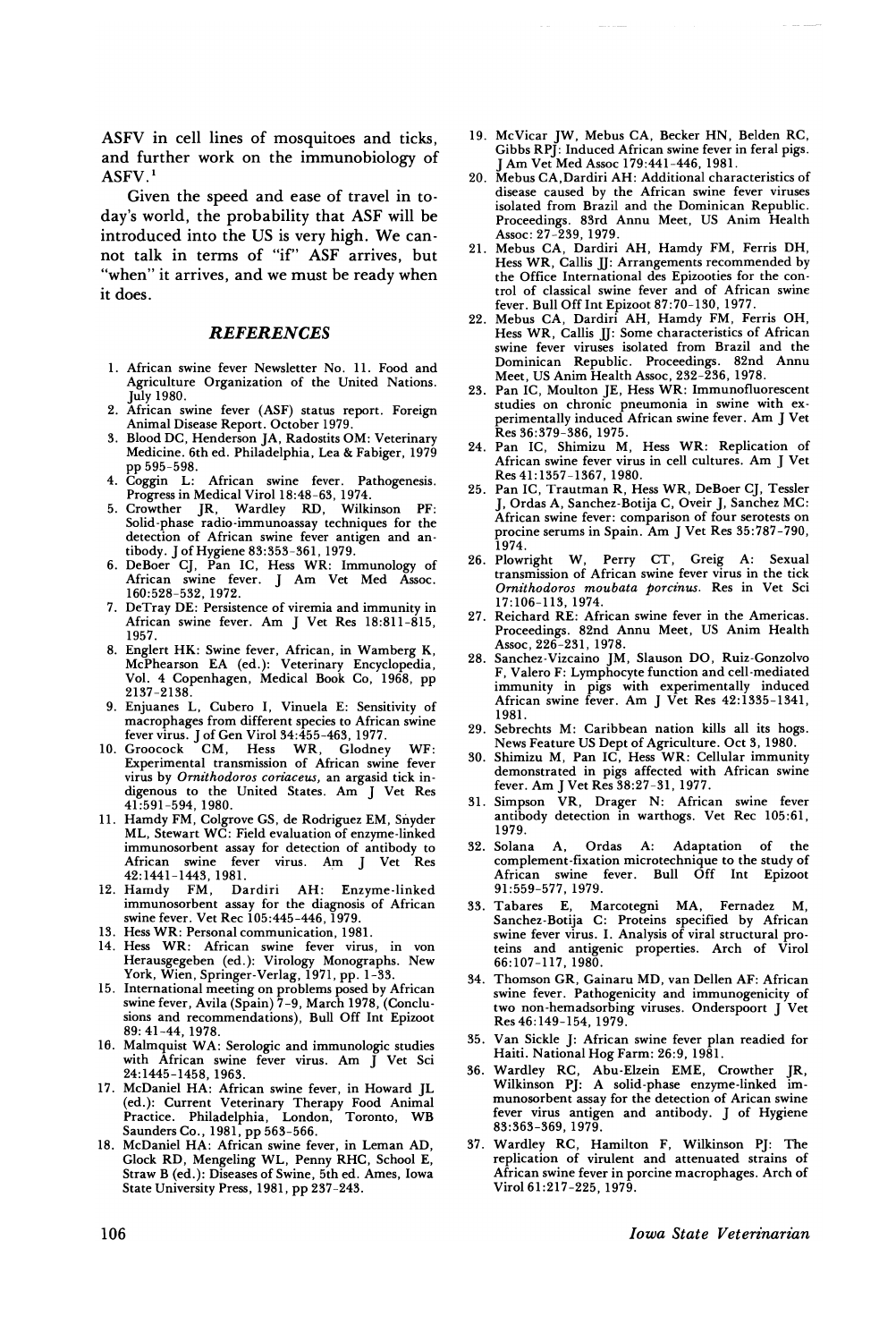ASFV in cell lines of mosquitoes and ticks, and further work on the immunobiology of ASFV.<sup>1</sup>

Given the speed and ease of travel in today's world, the probability that ASF will be introduced into the US is very high. We cannot talk in terms of "if" ASF arrives, but "when" it arrives, and we must be ready when it does.

#### **REFERENCES**

- 1. African swine fever Newsletter No. 11. Food and Agriculture Organization of the United Nations. July 1980.
- 2. African swine fever (ASF) status report. Foreign Animal Disease Report. October 1979.
- 3. Blood DC, Henderson JA, Radostits OM: Veterinary Medicine. 6th ed. Philadelphia, Lea & Fabiger, 1979 pp 595-598.<br>4. Coggin L:
- African swine fever. Pathogenesis.
- Progress in Medical ViroI18:48-63, 1974. 5. Crowther jR, Wardley RD, Wilkinson PF: Solid-phase radio-immunoassay techniques for the detection of African swine fever antigen and antibody. J of Hygiene 83:353-361,1979.
- 6. DeBoer CJ, Pan IC, Hess WR: Immunology of African swine fever. J Am Vet Med Assoc. 160:528-532, 1972.
- 7. DeTray DE: Persistence of viremia and immunity in African swine fever. Am J Vet Res 18:811-815, 1957.
- 8. Englert HK: Swine fever, African, in Wamberg K, McPhearson EA (ed.): Veterinary Encyclopedia, Vol. 4 Copenhagen, Medical Book Co, 1968, pp 2137-2138.
- 9. Enjuanes L, Cubero I, Vinuela E: Sensitivity of macrophages from different species to African swine fever virus. j of Gen ViroI34:455-463, 1977.
- 10. Grooc.ock CM, Hess WR, Glodney WF: Experimental transmission of African swine fever virus by *Ornithodoros coriaceus*, an argasid tick indigenous to the United States. Am J Vet Res 41:591-594,1980.
- 11. Hamdy FM, Colgrove GS, de Rodriguez EM, Snyder<br>ML, Stewart WC: Field evaluation of enzyme-linked immunosorbent assay for detection of antibody to<br>African swine fever virus. Am J Vet Res swine fever virus. Am J
- 42:1441-1443, 1981.<br>12. Hamdy FM, Dardiri AH: Enzyme-linked 12. Hamdy FM, Dardiri AH: Enzyme-linked<br>immunosorbent assay for the diagnosis of African swine fever. Vet Rec 105:445-446, 1979.
- 13. Hess WR: Personal communication, 1981.
- 14. Hess WR: African swine fever virus, in von Herausgegeben (ed.): Virology Monographs. New York, Wien, Springer-Verlag, 1971, pp. 1-33.
- 15. International meeting on problems posed by African<br>swine fever, Avila (Spain) 7-9, March 1978, (Conclusions and recommendations), Bull Off Int Epizoot 89: 41-44, 1978.
- 16. Malmquist WA: Serologic and immunologic studies with African swine fever virus. Am J Vet Sci
- 24:1445-1458,1963. 17. McDaniel HA: African swine fever, in Howard JL (ed.): Current Veterinary Therapy Food Animal Practice. Philadelphia, London, Toronto, WB Saunders Co., 1981, pp 563-566.<br>18. McDaniel HA: African swine fever, in Leman AD,
- 16. McDaniel HA: African swine fever, in Leman AD GIOCK RD, Mengeling WL, Penny RHC, SCHOOL E, Straw B (ed.): Diseases of Swine, 5th ed. Ames, Iowa State University Press, 1981, pp 237-243.
- 19. McVicar JW, Mebus CA, Becker HN, Belden RC, Gibbs RPJ: Induced African swine fever in feral pigs. Am Vet Med Assoc 179:441-446, 1981.
- 20. Mebus CA,Dardiri AH: Additional characteristics of disease caused by the African swine fever viruses isolated from Brazil and the Dominican Republic. Proceedings. 83rd Annu Meet, US Anim Health Assoc: 27-239, 1979.
- 21. Mebus CA, Dardiri AH, Hamdy FM, Ferris DH, Hess WR, Callis JJ: Arrangements recommended by the Office International des Epizooties for the control of classical swine fever and of African swine fever. Bull Off Int Epizoot 87:70-130, 1977.
- 22. Mebus CA, Dardiri AH, Hamdy FM, Ferris OH, Hess WR, Callis JJ: Some characteristics of African swine fever viruses isolated from Brazil and the<br>Dominican Republic, Proceedings, 82nd Annu Dominican Republic. Proceedings. 82nd Meet, US Anim Health Assoc, 232-236, 1978.
- 23. Pan IC, Moulton jE, Hess WR: Immunofluorescent studies on chronic pneumonia in swine with experimentally induced African swine fever. Am J Vet Res 36:379-386, 1975.
- 24. Pan IC, Shimizu M, Hess WR: Replication of African swine fever virus in cell cultures. Am J Vet Res 41: 1357-1367, 1980.
- 25. Pan IC, Trautman R, Hess WR, DeBoer Cj, Tessler j, Ordas A, Sanchez-Botija C, Oveir J, Sanchez MC: African swine fever: comparison of four serotests on procine serums in Spain. Am J Vet Res 35:787-790, 1974.<br>26. Plowright W,
- 26. Plowright W, Perry CT, Greig A: Sexual transmission of African swine fever virus in the tick *Ornz"thodoros moubata porcz"nus.* Res in Vet Sci 17:106-113,1974.
- 27. Reichard RE: African swine fever in the Americas. Proceedings. 82nd Annu Meet, US Anim Health Assoc, 226-231, 1978.
- Sanchez-Vizcaino JM, Slauson DO, Ruiz-Gonzolvo F, Valero F: Lymphocyte function and cell-mediated mmunity in pigs with experimentally induced African swine fever. Am J Vet Res 42:1335-1341, 1981.
- 29. Sebrechts M: Caribbean nation kills all its hogs. News Feature US Dept of Agriculture. Oct 3, 1980.
- 30. Shimizu M, Pan IC, Hess WR: Cellular immunity demonstrated in pigs affected with African swine fever. Am J Vet Res 38:27-31,1977.
- 31. Simpson VR, Drager N: African swine fever antibody detection in warthogs. Vet Rec 105:61, 1979.<br>32. Solana
- 32. Solana A, Ordas A: Adaptation of the complement-fixation microtechnique to the study of African swine fever. Bull Off Int Epizoot 91:559-577, 1979.
- 33. Tabares E, Marcotegni MA, Fernadez M, Sanchez-Botija C: Proteins specified by African<br>swine fever virus. I. Analysis of viral structural prowhile fever virus. 1. Analysis of viral structural pro-<br>teins and antigenic properties. Arch of Virol<br>66:107-117, 1980.
- 34. Thomson GR, Gainaru MD, van Dellen AF: African swine fever. Pathogenicity and immunogenicity of two non-hemadsorbing viruses. Onderspoort J vet<br>Res 46.140.154.1070 Res 46:149-154,1979.
- 35. Van Sickle J: African swine fever plan readied for Haiti. National Hog Farm: 26:9, 1981.<br>36. Wardley RC, Abu-Elzein EME, Crowther JR,
- 36. Wardley RC, Abu-Elzein EME, Crowther JR,<br>Wilkinson PJ: A solid-phase enzyme-linked immunosorbent assay for the detection of Arican swine<br>fever virus antigen and antibody. J of Hygiene<br>93.363 360 1070 83:363-369, 1979.<br>37. Wardley RC, Hamilton F, Wilkinson PJ: The
- replication of virulent and attenuated strains of replication of virulent and attenuated strains of African swine fever in porcine macrophages. Arch of<br>Virol 61.917–995–1070 ViroI61:217-225, 1979.